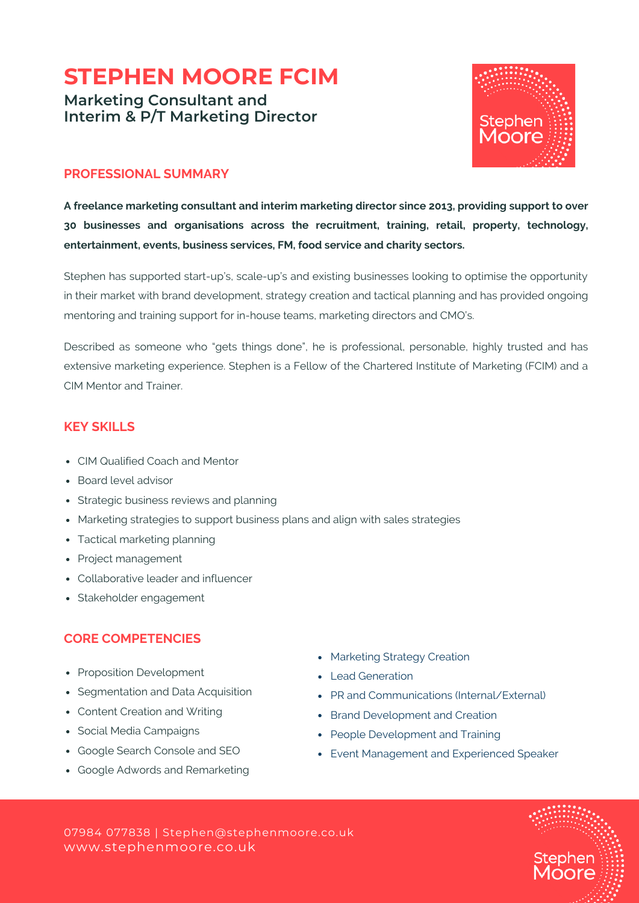# **STEPHEN MOORE FCIM**

**Marketing Consultant and Interim & P/T Marketing Director**



#### **PROFESSIONAL SUMMARY**

**A freelance marketing consultant and interim marketing director since 2013, providing support to over 30 businesses and organisations across the recruitment, training, retail, property, technology, entertainment, events, business services, FM, food service and charity sectors.**

Stephen has supported start-up's, scale-up's and existing businesses looking to optimise the opportunity in their market with brand development, strategy creation and tactical planning and has provided ongoing mentoring and training support for in-house teams, marketing directors and CMO's.

Described as someone who "gets things done", he is professional, personable, highly trusted and has extensive marketing experience. Stephen is a Fellow of the Chartered Institute of Marketing (FCIM) and a CIM Mentor and Trainer.

## **KEY SKILLS**

- CIM Qualified Coach and Mentor
- Board level advisor
- Strategic business reviews and planning
- Marketing strategies to support business plans and align with sales strategies
- Tactical marketing planning
- Project management
- Collaborative leader and influencer
- Stakeholder engagement

## **CORE COMPETENCIES**

- Proposition Development
- Segmentation and Data Acquisition
- Content Creation and Writing
- Social Media Campaigns
- Google Search Console and SEO
- Google Adwords and Remarketing
- Marketing Strategy Creation
- Lead Generation
- PR and Communications (Internal/External)
- Brand Development and Creation
- People Development and Training
- Event Management and Experienced Speaker

www.stephenmoore.co.uk 07984 077838 | Stephen@stephenmoore.co.uk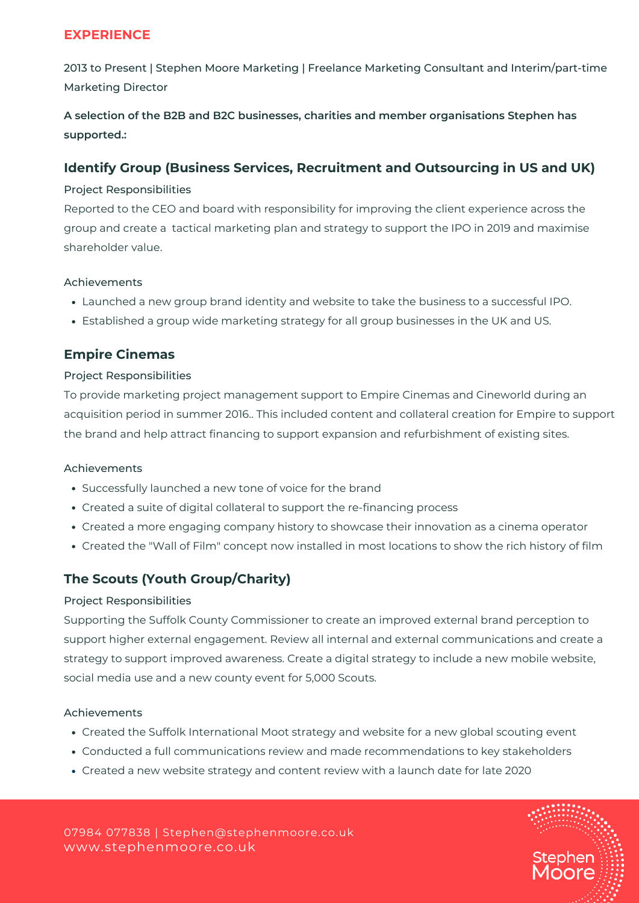# **EXPERIENCE**

2013 to Present | Stephen Moore Marketing | Freelance Marketing Consultant and Interim/part-time Marketing Director

**A selection of the B2B and B2C businesses, charities and member organisations Stephen has supported.:**

## **Identify Group (Business Services, Recruitment and Outsourcing in US and UK)**

#### Project Responsibilities

Reported to the CEO and board with responsibility for improving the client experience across the group and create a tactical marketing plan and strategy to support the IPO in 2019 and maximise shareholder value.

#### Achievements

- Launched a new group brand identity and website to take the business to a successful IPO.
- Established a group wide marketing strategy for all group businesses in the UK and US.

# **Empire Cinemas**

#### Project Responsibilities

To provide marketing project management support to Empire Cinemas and Cineworld during an acquisition period in summer 2016.. This included content and collateral creation for Empire to support the brand and help attract financing to support expansion and refurbishment of existing sites.

#### Achievements

- Successfully launched a new tone of voice for the brand
- Created a suite of digital collateral to support the re-financing process
- Created a more engaging company history to showcase their innovation as a cinema operator
- Created the "Wall of Film" concept now installed in most locations to show the rich history of film

# **The Scouts (Youth Group/Charity)**

#### Project Responsibilities

Supporting the Suffolk County Commissioner to create an improved external brand perception to support higher external engagement. Review all internal and external communications and create a strategy to support improved awareness. Create a digital strategy to include a new mobile website, social media use and a new county event for 5,000 Scouts.

#### Achievements

- Created the Suffolk International Moot strategy and website for a new global scouting event
- Conducted a full communications review and made recommendations to key stakeholders
- Created a new website strategy and content review with a launch date for late 2020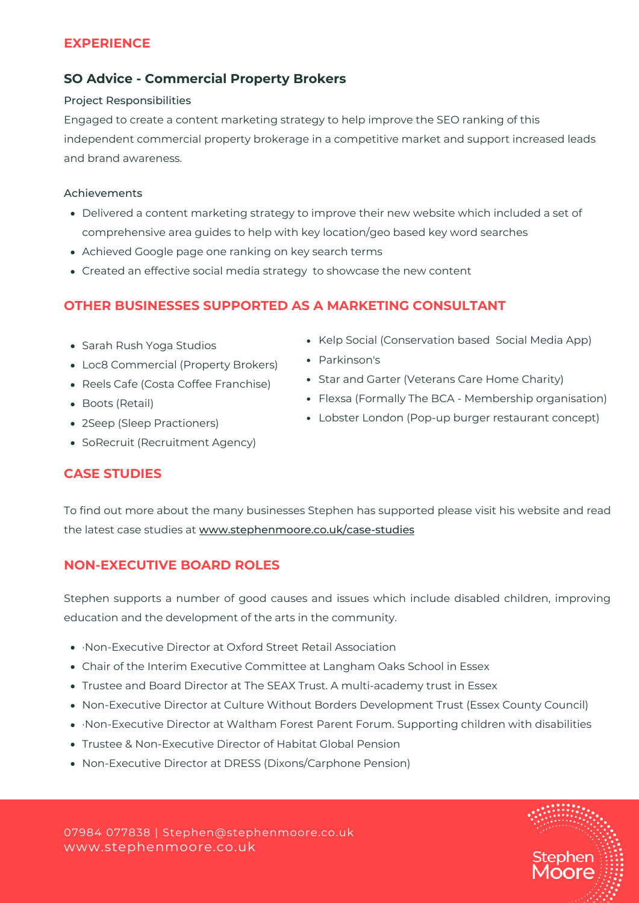## **EXPERIENCE**

## **SO Advice - Commercial Property Brokers**

#### Project Responsibilities

Engaged to create a content marketing strategy to help improve the SEO ranking of this independent commercial property brokerage in a competitive market and support increased leads and brand awareness.

#### Achievements

- Delivered a content marketing strategy to improve their new website which included a set of comprehensive area guides to help with key location/geo based key word searches
- Achieved Google page one ranking on key search terms
- Created an effective social media strategy to showcase the new content

# **OTHER BUSINESSES SUPPORTED AS A MARKETING CONSULTANT**

- Sarah Rush Yoga Studios
- Loc8 Commercial (Property Brokers)
- Reels Cafe (Costa Coffee Franchise)
- Boots (Retail)
- 2Seep (Sleep Practioners)
- SoRecruit (Recruitment Agency)
- Kelp Social (Conservation based Social Media App)
- Parkinson's
- Star and Garter (Veterans Care Home Charity)
- Flexsa (Formally The BCA Membership organisation)
- Lobster London (Pop-up burger restaurant concept)

# **CASE STUDIES**

To find out more about the many businesses Stephen has supported please visit his website and read the latest case studies at [www.stephenmoore.co.uk/case-studies](http://www.stephenmoore.co.uk/case-studies)

# **NON-EXECUTIVE BOARD ROLES**

Stephen supports a number of good causes and issues which include disabled children, improving education and the development of the arts in the community.

- ·Non-Executive Director at Oxford Street Retail Association
- Chair of the Interim Executive Committee at Langham Oaks School in Essex
- Trustee and Board Director at The SEAX Trust. A multi-academy trust in Essex
- Non-Executive Director at Culture Without Borders Development Trust (Essex County Council)
- ·Non-Executive Director at Waltham Forest Parent Forum. Supporting children with disabilities
- Trustee & Non-Executive Director of Habitat Global Pension
- Non-Executive Director at DRESS (Dixons/Carphone Pension)

www.stephenmoore.co.uk 07984 077838 | Stephen@stephenmoore.co.uk